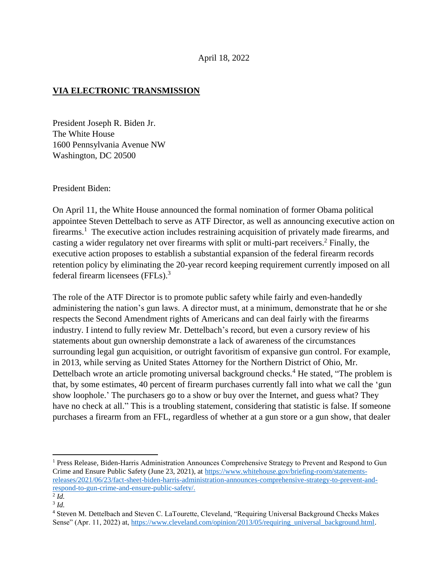## **VIA ELECTRONIC TRANSMISSION**

President Joseph R. Biden Jr. The White House 1600 Pennsylvania Avenue NW Washington, DC 20500

President Biden:

On April 11, the White House announced the formal nomination of former Obama political appointee Steven Dettelbach to serve as ATF Director, as well as announcing executive action on firearms.<sup>1</sup> The executive action includes restraining acquisition of privately made firearms, and casting a wider regulatory net over firearms with split or multi-part receivers.<sup>2</sup> Finally, the executive action proposes to establish a substantial expansion of the federal firearm records retention policy by eliminating the 20-year record keeping requirement currently imposed on all federal firearm licensees (FFLs). 3

The role of the ATF Director is to promote public safety while fairly and even-handedly administering the nation's gun laws. A director must, at a minimum, demonstrate that he or she respects the Second Amendment rights of Americans and can deal fairly with the firearms industry. I intend to fully review Mr. Dettelbach's record, but even a cursory review of his statements about gun ownership demonstrate a lack of awareness of the circumstances surrounding legal gun acquisition, or outright favoritism of expansive gun control. For example, in 2013, while serving as United States Attorney for the Northern District of Ohio, Mr. Dettelbach wrote an article promoting universal background checks.<sup>4</sup> He stated, "The problem is that, by some estimates, 40 percent of firearm purchases currently fall into what we call the 'gun show loophole.' The purchasers go to a show or buy over the Internet, and guess what? They have no check at all." This is a troubling statement, considering that statistic is false. If someone purchases a firearm from an FFL, regardless of whether at a gun store or a gun show, that dealer

l

<sup>1</sup> Press Release, Biden-Harris Administration Announces Comprehensive Strategy to Prevent and Respond to Gun Crime and Ensure Public Safety (June 23, 2021), at [https://www.whitehouse.gov/briefing-room/statements](https://www.whitehouse.gov/briefing-room/statements-releases/2021/06/23/fact-sheet-biden-harris-administration-announces-comprehensive-strategy-to-prevent-and-respond-to-gun-crime-and-ensure-public-safety/)[releases/2021/06/23/fact-sheet-biden-harris-administration-announces-comprehensive-strategy-to-prevent-and](https://www.whitehouse.gov/briefing-room/statements-releases/2021/06/23/fact-sheet-biden-harris-administration-announces-comprehensive-strategy-to-prevent-and-respond-to-gun-crime-and-ensure-public-safety/)[respond-to-gun-crime-and-ensure-public-safety/.](https://www.whitehouse.gov/briefing-room/statements-releases/2021/06/23/fact-sheet-biden-harris-administration-announces-comprehensive-strategy-to-prevent-and-respond-to-gun-crime-and-ensure-public-safety/)

<sup>2</sup> *Id.* 3 *Id.*

<sup>4</sup> Steven M. Dettelbach and Steven C. LaTourette, Cleveland, "Requiring Universal Background Checks Makes Sense" (Apr. 11, 2022) at, [https://www.cleveland.com/opinion/2013/05/requiring\\_universal\\_background.html.](https://www.cleveland.com/opinion/2013/05/requiring_universal_background.html)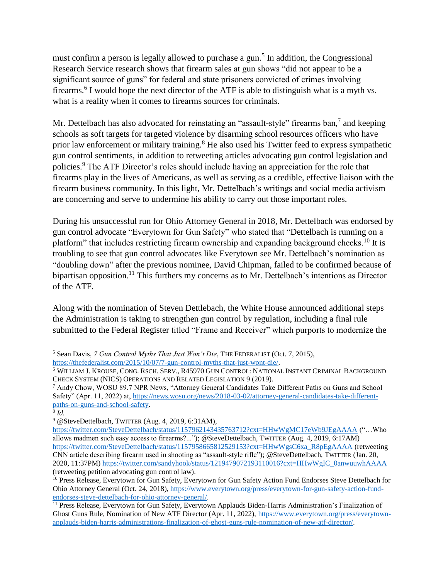must confirm a person is legally allowed to purchase a gun.<sup>5</sup> In addition, the Congressional Research Service research shows that firearm sales at gun shows "did not appear to be a significant source of guns" for federal and state prisoners convicted of crimes involving firearms.<sup>6</sup> I would hope the next director of the ATF is able to distinguish what is a myth vs. what is a reality when it comes to firearms sources for criminals.

Mr. Dettelbach has also advocated for reinstating an "assault-style" firearms ban,<sup>7</sup> and keeping schools as soft targets for targeted violence by disarming school resources officers who have prior law enforcement or military training.<sup>8</sup> He also used his Twitter feed to express sympathetic gun control sentiments, in addition to retweeting articles advocating gun control legislation and policies.<sup>9</sup> The ATF Director's roles should include having an appreciation for the role that firearms play in the lives of Americans, as well as serving as a credible, effective liaison with the firearm business community. In this light, Mr. Dettelbach's writings and social media activism are concerning and serve to undermine his ability to carry out those important roles.

During his unsuccessful run for Ohio Attorney General in 2018, Mr. Dettelbach was endorsed by gun control advocate "Everytown for Gun Safety" who stated that "Dettelbach is running on a platform" that includes restricting firearm ownership and expanding background checks.<sup>10</sup> It is troubling to see that gun control advocates like Everytown see Mr. Dettelbach's nomination as "doubling down" after the previous nominee, David Chipman, failed to be confirmed because of bipartisan opposition.<sup>11</sup> This furthers my concerns as to Mr. Dettelbach's intentions as Director of the ATF.

Along with the nomination of Steven Dettlebach, the White House announced additional steps the Administration is taking to strengthen gun control by regulation, including a final rule submitted to the Federal Register titled "Frame and Receiver" which purports to modernize the

 $\overline{\phantom{a}}$ <sup>5</sup> Sean Davis, *7 Gun Control Myths That Just Won't Die*, THE FEDERALIST (Oct. 7, 2015), [https://thefederalist.com/2015/10/07/7-gun-control-myths-that-just-wont-die/.](https://thefederalist.com/2015/10/07/7-gun-control-myths-that-just-wont-die/)

<sup>6</sup> WILLIAM J. KROUSE, CONG. RSCH. SERV., R45970 GUN CONTROL: NATIONAL INSTANT CRIMINAL BACKGROUND CHECK SYSTEM (NICS) OPERATIONS AND RELATED LEGISLATION 9 (2019).

<sup>7</sup> Andy Chow, WOSU 89.7 NPR News, "Attorney General Candidates Take Different Paths on Guns and School Safety" (Apr. 11, 2022) at, [https://news.wosu.org/news/2018-03-02/attorney-general-candidates-take-different](https://news.wosu.org/news/2018-03-02/attorney-general-candidates-take-different-paths-on-guns-and-school-safety)[paths-on-guns-and-school-safety.](https://news.wosu.org/news/2018-03-02/attorney-general-candidates-take-different-paths-on-guns-and-school-safety)

<sup>8</sup> *Id.*

<sup>9</sup> @SteveDettelbach, TWITTER (Aug. 4, 2019, 6:31AM),

<https://twitter.com/SteveDettelbach/status/1157962143435763712?cxt=HHwWgMC17eWb9JEgAAAA> ("…Who allows madmen such easy access to firearms?..."); @SteveDettelbach, TWITTER (Aug. 4, 2019, 6:17AM) [https://twitter.com/SteveDettelbach/status/1157958665812529153?cxt=HHwWgsC6xa\\_R8pEgAAAA](https://twitter.com/SteveDettelbach/status/1157958665812529153?cxt=HHwWgsC6xa_R8pEgAAAA) (retweeting CNN article describing firearm used in shooting as "assault-style rifle"); @SteveDettelbach, TWITTER (Jan. 20, 2020, 11:37PM) [https://twitter.com/sandyhook/status/1219479072193110016?cxt=HHwWgIC\\_0anwuuwhAAAA](https://twitter.com/sandyhook/status/1219479072193110016?cxt=HHwWgIC_0anwuuwhAAAA) (retweeting petition advocating gun control law).

<sup>&</sup>lt;sup>10</sup> Press Release, Everytown for Gun Safety, Everytown for Gun Safety Action Fund Endorses Steve Dettelbach for Ohio Attorney General (Oct. 24, 2018), [https://www.everytown.org/press/everytown-for-gun-safety-action-fund](https://www.everytown.org/press/everytown-for-gun-safety-action-fund-endorses-steve-dettelbach-for-ohio-attorney-general/)[endorses-steve-dettelbach-for-ohio-attorney-general/.](https://www.everytown.org/press/everytown-for-gun-safety-action-fund-endorses-steve-dettelbach-for-ohio-attorney-general/)

<sup>&</sup>lt;sup>11</sup> Press Release, Everytown for Gun Safety, Everytown Applauds Biden-Harris Administration's Finalization of Ghost Guns Rule, Nomination of New ATF Director (Apr. 11, 2022), [https://www.everytown.org/press/everytown](https://www.everytown.org/press/everytown-applauds-biden-harris-administrations-finalization-of-ghost-guns-rule-nomination-of-new-atf-director/)[applauds-biden-harris-administrations-finalization-of-ghost-guns-rule-nomination-of-new-atf-director/.](https://www.everytown.org/press/everytown-applauds-biden-harris-administrations-finalization-of-ghost-guns-rule-nomination-of-new-atf-director/)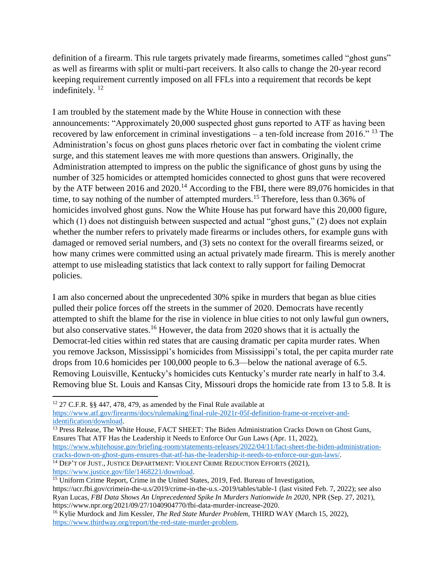definition of a firearm. This rule targets privately made firearms, sometimes called "ghost guns" as well as firearms with split or multi-part receivers. It also calls to change the 20-year record keeping requirement currently imposed on all FFLs into a requirement that records be kept indefinitely.<sup>12</sup>

I am troubled by the statement made by the White House in connection with these announcements: "Approximately 20,000 suspected ghost guns reported to ATF as having been recovered by law enforcement in criminal investigations – a ten-fold increase from 2016." <sup>13</sup> The Administration's focus on ghost guns places rhetoric over fact in combating the violent crime surge, and this statement leaves me with more questions than answers. Originally, the Administration attempted to impress on the public the significance of ghost guns by using the number of 325 homicides or attempted homicides connected to ghost guns that were recovered by the ATF between 2016 and 2020.<sup>14</sup> According to the FBI, there were 89,076 homicides in that time, to say nothing of the number of attempted murders.<sup>15</sup> Therefore, less than 0.36% of homicides involved ghost guns. Now the White House has put forward have this 20,000 figure, which (1) does not distinguish between suspected and actual "ghost guns," (2) does not explain whether the number refers to privately made firearms or includes others, for example guns with damaged or removed serial numbers, and (3) sets no context for the overall firearms seized, or how many crimes were committed using an actual privately made firearm. This is merely another attempt to use misleading statistics that lack context to rally support for failing Democrat policies.

I am also concerned about the unprecedented 30% spike in murders that began as blue cities pulled their police forces off the streets in the summer of 2020. Democrats have recently attempted to shift the blame for the rise in violence in blue cities to not only lawful gun owners, but also conservative states.<sup>16</sup> However, the data from 2020 shows that it is actually the Democrat-led cities within red states that are causing dramatic per capita murder rates. When you remove Jackson, Mississippi's homicides from Mississippi's total, the per capita murder rate drops from 10.6 homicides per 100,000 people to 6.3—below the national average of 6.5. Removing Louisville, Kentucky's homicides cuts Kentucky's murder rate nearly in half to 3.4. Removing blue St. Louis and Kansas City, Missouri drops the homicide rate from 13 to 5.8. It is

[https://www.justice.gov/file/1468221/download.](https://www.justice.gov/file/1468221/download)

 $\overline{\phantom{a}}$ 

<sup>12</sup> 27 C.F.R. §§ 447, 478, 479, as amended by the Final Rule available at [https://www.atf.gov/firearms/docs/rulemaking/final-rule-2021r-05f-definition-frame-or-receiver-and](https://www.atf.gov/firearms/docs/rulemaking/final-rule-2021r-05f-definition-frame-or-receiver-and-identification/download)[identification/download.](https://www.atf.gov/firearms/docs/rulemaking/final-rule-2021r-05f-definition-frame-or-receiver-and-identification/download)

<sup>&</sup>lt;sup>13</sup> Press Release, The White House, FACT SHEET: The Biden Administration Cracks Down on Ghost Guns, Ensures That ATF Has the Leadership it Needs to Enforce Our Gun Laws (Apr. 11, 2022),

[https://www.whitehouse.gov/briefing-room/statements-releases/2022/04/11/fact-sheet-the-biden-administration](https://www.whitehouse.gov/briefing-room/statements-releases/2022/04/11/fact-sheet-the-biden-administration-cracks-down-on-ghost-guns-ensures-that-atf-has-the-leadership-it-needs-to-enforce-our-gun-laws/)[cracks-down-on-ghost-guns-ensures-that-atf-has-the-leadership-it-needs-to-enforce-our-gun-laws/.](https://www.whitehouse.gov/briefing-room/statements-releases/2022/04/11/fact-sheet-the-biden-administration-cracks-down-on-ghost-guns-ensures-that-atf-has-the-leadership-it-needs-to-enforce-our-gun-laws/) <sup>14</sup> DEP'T OF JUST., JUSTICE DEPARTMENT: VIOLENT CRIME REDUCTION EFFORTS (2021),

 $15$  Uniform Crime Report, Crime in the United States, 2019, Fed. Bureau of Investigation, https://ucr.fbi.gov/crimein-the-u.s/2019/crime-in-the-u.s.-2019/tables/table-1 (last visited Feb. 7, 2022); see also Ryan Lucas, *FBI Data Shows An Unprecedented Spike In Murders Nationwide In 2020*, NPR (Sep. 27, 2021), https://www.npr.org/2021/09/27/1040904770/fbi-data-murder-increase-2020.

<sup>&</sup>lt;sup>16</sup> Kylie Murdock and Jim Kessler, *The Red State Murder Problem*, THIRD WAY (March 15, 2022), [https://www.thirdway.org/report/the-red-state-murder-problem.](https://www.thirdway.org/report/the-red-state-murder-problem)